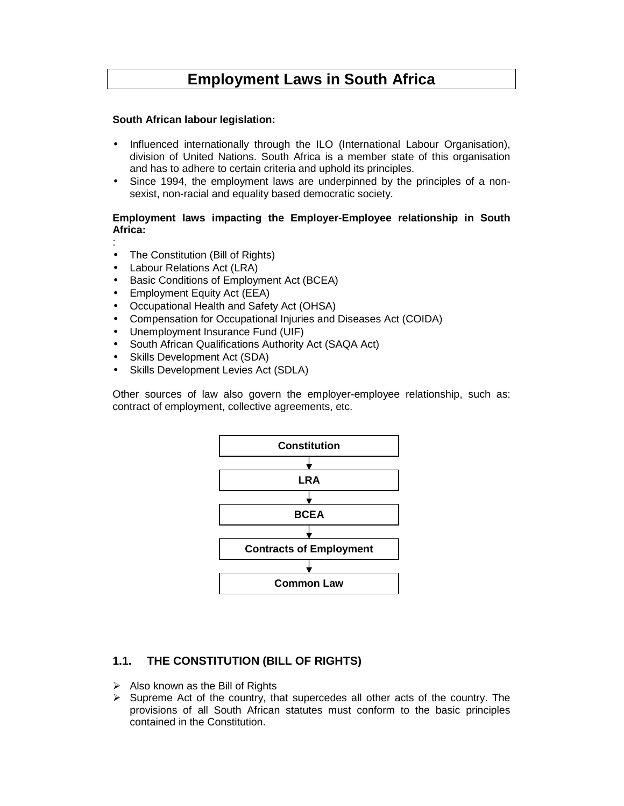# **Employment Laws in South Africa**

#### **South African labour legislation:**

- Influenced internationally through the ILO (International Labour Organisation), division of United Nations. South Africa is a member state of this organisation and has to adhere to certain criteria and uphold its principles.
- Since 1994, the employment laws are underpinned by the principles of a nonsexist, non-racial and equality based democratic society.

#### **Employment laws impacting the Employer-Employee relationship in South Africa:**

:

- The Constitution (Bill of Rights)
- Labour Relations Act (LRA)
- Basic Conditions of Employment Act (BCEA)
- Employment Equity Act (EEA)
- Occupational Health and Safety Act (OHSA)
- Compensation for Occupational Injuries and Diseases Act (COIDA)
- Unemployment Insurance Fund (UIF)
- South African Qualifications Authority Act (SAQA Act)
- Skills Development Act (SDA)
- Skills Development Levies Act (SDLA)

Other sources of law also govern the employer-employee relationship, such as: contract of employment, collective agreements, etc.



# **1.1. THE CONSTITUTION (BILL OF RIGHTS)**

- $\triangleright$  Also known as the Bill of Rights
- $\triangleright$  Supreme Act of the country, that supercedes all other acts of the country. The provisions of all South African statutes must conform to the basic principles contained in the Constitution.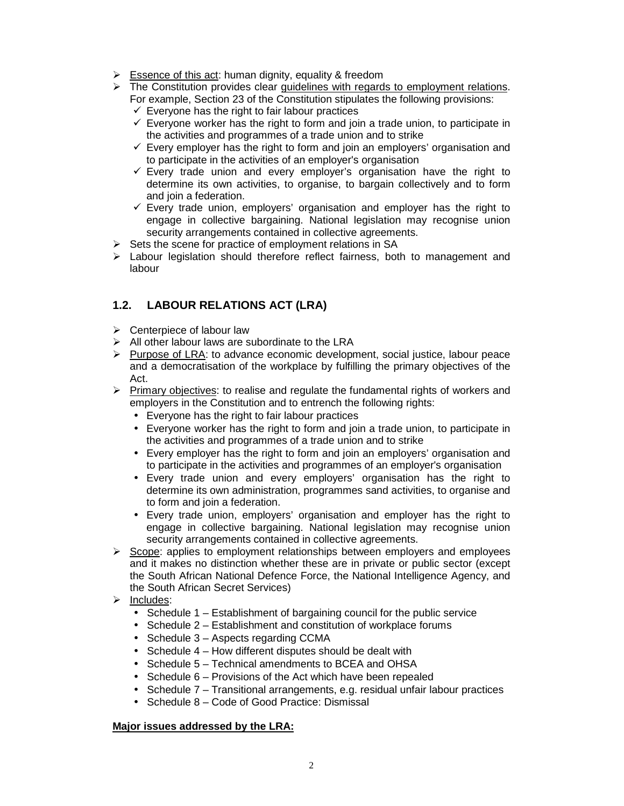- $\triangleright$  Essence of this act: human dignity, equality & freedom
- $\triangleright$  The Constitution provides clear guidelines with regards to employment relations.
	- For example, Section 23 of the Constitution stipulates the following provisions:
	- $\checkmark$  Everyone has the right to fair labour practices
	- $\checkmark$  Everyone worker has the right to form and join a trade union, to participate in the activities and programmes of a trade union and to strike
	- $\checkmark$  Every employer has the right to form and join an employers' organisation and to participate in the activities of an employer's organisation
	- $\checkmark$  Every trade union and every employer's organisation have the right to determine its own activities, to organise, to bargain collectively and to form and join a federation.
	- $\checkmark$  Every trade union, employers' organisation and employer has the right to engage in collective bargaining. National legislation may recognise union security arrangements contained in collective agreements.
- $\triangleright$  Sets the scene for practice of employment relations in SA
- $\triangleright$  Labour legislation should therefore reflect fairness, both to management and labour

# **1.2. LABOUR RELATIONS ACT (LRA)**

- $\triangleright$  Centerpiece of labour law
- $\triangleright$  All other labour laws are subordinate to the LRA
- $\triangleright$  Purpose of LRA: to advance economic development, social justice, labour peace and a democratisation of the workplace by fulfilling the primary objectives of the Act.
- $\triangleright$  Primary objectives: to realise and regulate the fundamental rights of workers and employers in the Constitution and to entrench the following rights:
	- Everyone has the right to fair labour practices
	- Everyone worker has the right to form and join a trade union, to participate in the activities and programmes of a trade union and to strike
	- Every employer has the right to form and join an employers' organisation and to participate in the activities and programmes of an employer's organisation
	- Every trade union and every employers' organisation has the right to determine its own administration, programmes sand activities, to organise and to form and join a federation.
	- Every trade union, employers' organisation and employer has the right to engage in collective bargaining. National legislation may recognise union security arrangements contained in collective agreements.
- $\triangleright$  Scope: applies to employment relationships between employers and employees and it makes no distinction whether these are in private or public sector (except the South African National Defence Force, the National Intelligence Agency, and the South African Secret Services)
- $\triangleright$  Includes:
	- Schedule 1 Establishment of bargaining council for the public service
	- Schedule 2 Establishment and constitution of workplace forums
	- Schedule 3 Aspects regarding CCMA
	- Schedule 4 How different disputes should be dealt with
	- Schedule 5 Technical amendments to BCEA and OHSA
	- Schedule 6 Provisions of the Act which have been repealed
	- Schedule 7 Transitional arrangements, e.g. residual unfair labour practices
	- Schedule 8 Code of Good Practice: Dismissal

# **Major issues addressed by the LRA:**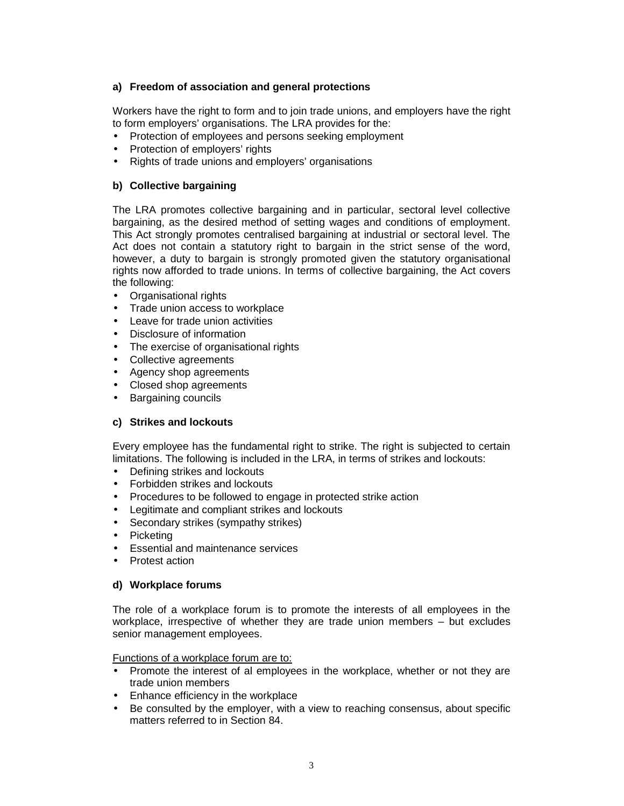#### **a) Freedom of association and general protections**

Workers have the right to form and to join trade unions, and employers have the right to form employers' organisations. The LRA provides for the:

- Protection of employees and persons seeking employment
- Protection of employers' rights
- Rights of trade unions and employers' organisations

#### **b) Collective bargaining**

The LRA promotes collective bargaining and in particular, sectoral level collective bargaining, as the desired method of setting wages and conditions of employment. This Act strongly promotes centralised bargaining at industrial or sectoral level. The Act does not contain a statutory right to bargain in the strict sense of the word, however, a duty to bargain is strongly promoted given the statutory organisational rights now afforded to trade unions. In terms of collective bargaining, the Act covers the following:

- Organisational rights
- Trade union access to workplace
- Leave for trade union activities
- Disclosure of information
- The exercise of organisational rights
- Collective agreements
- Agency shop agreements
- Closed shop agreements
- Bargaining councils

#### **c) Strikes and lockouts**

Every employee has the fundamental right to strike. The right is subjected to certain limitations. The following is included in the LRA, in terms of strikes and lockouts:

- Defining strikes and lockouts
- Forbidden strikes and lockouts
- Procedures to be followed to engage in protected strike action
- Legitimate and compliant strikes and lockouts
- Secondary strikes (sympathy strikes)
- Picketing
- Essential and maintenance services
- Protest action

#### **d) Workplace forums**

The role of a workplace forum is to promote the interests of all employees in the workplace, irrespective of whether they are trade union members – but excludes senior management employees.

Functions of a workplace forum are to:

- Promote the interest of al employees in the workplace, whether or not they are trade union members
- Enhance efficiency in the workplace
- Be consulted by the employer, with a view to reaching consensus, about specific matters referred to in Section 84.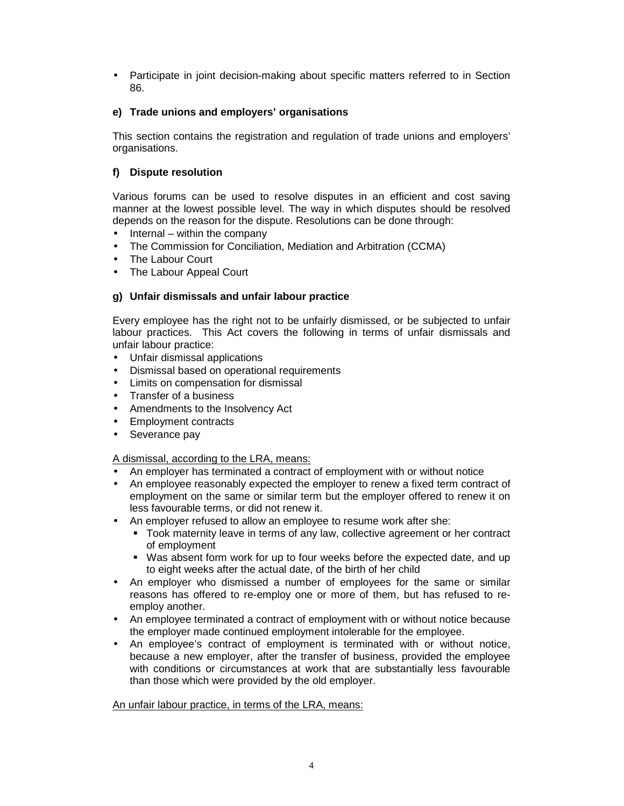• Participate in joint decision-making about specific matters referred to in Section 86.

#### **e) Trade unions and employers' organisations**

This section contains the registration and regulation of trade unions and employers' organisations.

#### **f) Dispute resolution**

Various forums can be used to resolve disputes in an efficient and cost saving manner at the lowest possible level. The way in which disputes should be resolved depends on the reason for the dispute. Resolutions can be done through:

- Internal within the company
- The Commission for Conciliation, Mediation and Arbitration (CCMA)
- The Labour Court
- The Labour Appeal Court

#### **g) Unfair dismissals and unfair labour practice**

Every employee has the right not to be unfairly dismissed, or be subjected to unfair labour practices. This Act covers the following in terms of unfair dismissals and unfair labour practice:

- Unfair dismissal applications
- Dismissal based on operational requirements
- Limits on compensation for dismissal
- Transfer of a business
- Amendments to the Insolvency Act
- Employment contracts
- Severance pay

#### A dismissal, according to the LRA, means:

- An employer has terminated a contract of employment with or without notice
- An employee reasonably expected the employer to renew a fixed term contract of employment on the same or similar term but the employer offered to renew it on less favourable terms, or did not renew it.
- An employer refused to allow an employee to resume work after she:
	- Took maternity leave in terms of any law, collective agreement or her contract of employment
	- Was absent form work for up to four weeks before the expected date, and up to eight weeks after the actual date, of the birth of her child
- An employer who dismissed a number of employees for the same or similar reasons has offered to re-employ one or more of them, but has refused to reemploy another.
- An employee terminated a contract of employment with or without notice because the employer made continued employment intolerable for the employee.
- An employee's contract of employment is terminated with or without notice, because a new employer, after the transfer of business, provided the employee with conditions or circumstances at work that are substantially less favourable than those which were provided by the old employer.

#### An unfair labour practice, in terms of the LRA, means: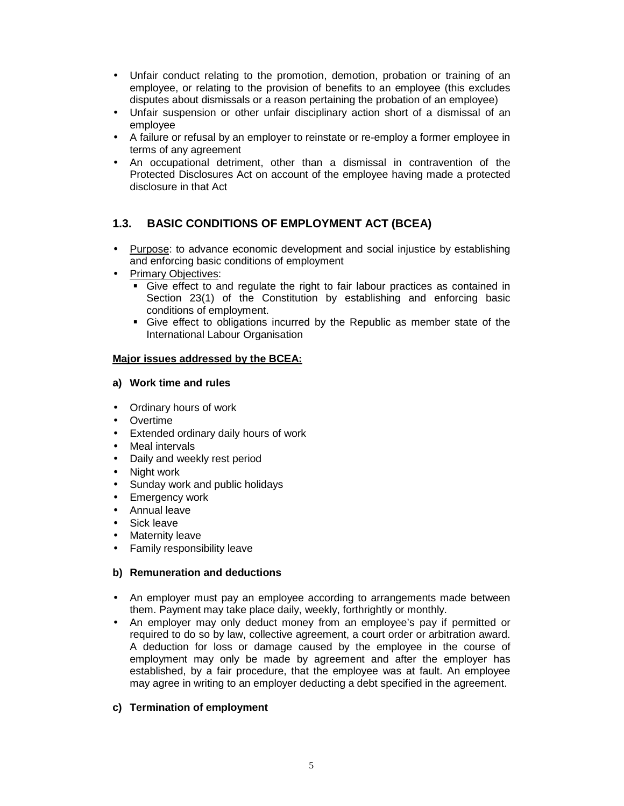- Unfair conduct relating to the promotion, demotion, probation or training of an employee, or relating to the provision of benefits to an employee (this excludes disputes about dismissals or a reason pertaining the probation of an employee)
- Unfair suspension or other unfair disciplinary action short of a dismissal of an employee
- A failure or refusal by an employer to reinstate or re-employ a former employee in terms of any agreement
- An occupational detriment, other than a dismissal in contravention of the Protected Disclosures Act on account of the employee having made a protected disclosure in that Act

# **1.3. BASIC CONDITIONS OF EMPLOYMENT ACT (BCEA)**

- Purpose: to advance economic development and social injustice by establishing and enforcing basic conditions of employment
- Primary Objectives:
	- Give effect to and regulate the right to fair labour practices as contained in Section 23(1) of the Constitution by establishing and enforcing basic conditions of employment.
	- Give effect to obligations incurred by the Republic as member state of the International Labour Organisation

#### **Major issues addressed by the BCEA:**

#### **a) Work time and rules**

- Ordinary hours of work
- Overtime
- Extended ordinary daily hours of work
- Meal intervals
- Daily and weekly rest period
- Night work
- Sunday work and public holidays
- Emergency work
- Annual leave
- Sick leave
- Maternity leave
- Family responsibility leave

#### **b) Remuneration and deductions**

- An employer must pay an employee according to arrangements made between them. Payment may take place daily, weekly, forthrightly or monthly.
- An employer may only deduct money from an employee's pay if permitted or required to do so by law, collective agreement, a court order or arbitration award. A deduction for loss or damage caused by the employee in the course of employment may only be made by agreement and after the employer has established, by a fair procedure, that the employee was at fault. An employee may agree in writing to an employer deducting a debt specified in the agreement.

#### **c) Termination of employment**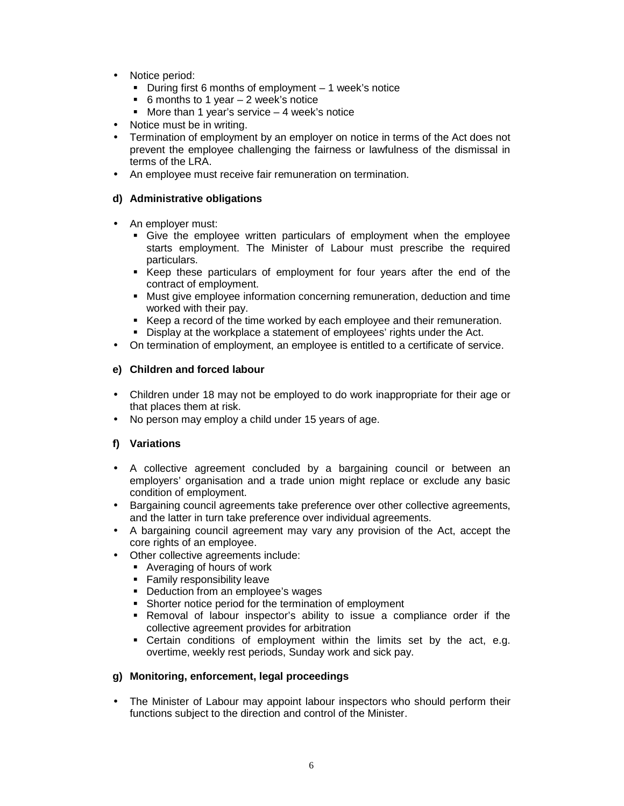- Notice period:
	- During first 6 months of employment 1 week's notice
	- 6 months to 1 year  $-2$  week's notice
	- More than 1 year's service  $-4$  week's notice
- Notice must be in writing.
- Termination of employment by an employer on notice in terms of the Act does not prevent the employee challenging the fairness or lawfulness of the dismissal in terms of the LRA.
- An employee must receive fair remuneration on termination.

#### **d) Administrative obligations**

- An employer must:
	- Give the employee written particulars of employment when the employee starts employment. The Minister of Labour must prescribe the required particulars.
	- Keep these particulars of employment for four years after the end of the contract of employment.
	- Must give employee information concerning remuneration, deduction and time worked with their pay.
	- Keep a record of the time worked by each employee and their remuneration.
	- Display at the workplace a statement of employees' rights under the Act.
- On termination of employment, an employee is entitled to a certificate of service.

#### **e) Children and forced labour**

- Children under 18 may not be employed to do work inappropriate for their age or that places them at risk.
- No person may employ a child under 15 years of age.

#### **f) Variations**

- A collective agreement concluded by a bargaining council or between an employers' organisation and a trade union might replace or exclude any basic condition of employment.
- Bargaining council agreements take preference over other collective agreements, and the latter in turn take preference over individual agreements.
- A bargaining council agreement may vary any provision of the Act, accept the core rights of an employee.
- Other collective agreements include:
	- Averaging of hours of work
	- **Family responsibility leave**
	- **Deduction from an employee's wages**
	- **Shorter notice period for the termination of employment**
	- Removal of labour inspector's ability to issue a compliance order if the collective agreement provides for arbitration
	- Certain conditions of employment within the limits set by the act, e.g. overtime, weekly rest periods, Sunday work and sick pay.

#### **g) Monitoring, enforcement, legal proceedings**

• The Minister of Labour may appoint labour inspectors who should perform their functions subject to the direction and control of the Minister.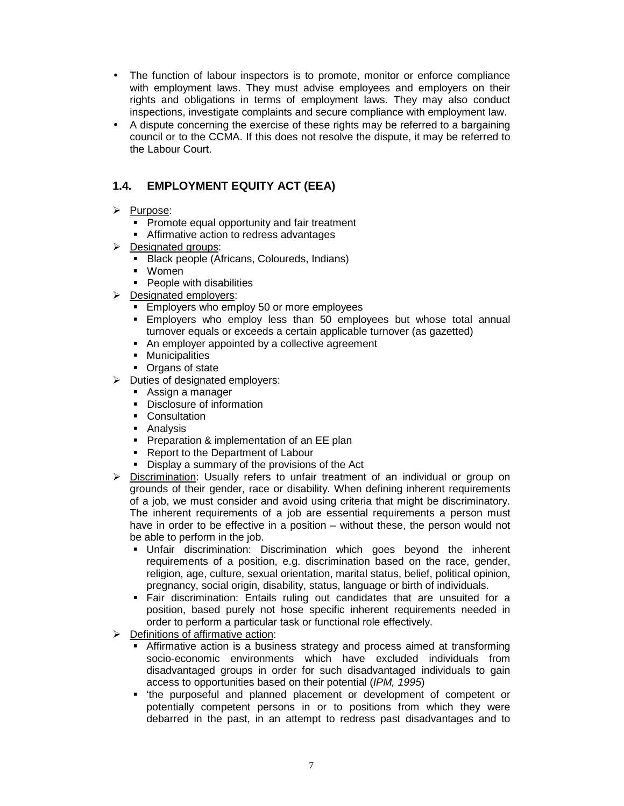- The function of labour inspectors is to promote, monitor or enforce compliance with employment laws. They must advise employees and employers on their rights and obligations in terms of employment laws. They may also conduct inspections, investigate complaints and secure compliance with employment law.
- A dispute concerning the exercise of these rights may be referred to a bargaining council or to the CCMA. If this does not resolve the dispute, it may be referred to the Labour Court.

# **1.4. EMPLOYMENT EQUITY ACT (EEA)**

- > Purpose:
	- **Promote equal opportunity and fair treatment**
	- **Affirmative action to redress advantages**
- **Designated groups:** 
	- Black people (Africans, Coloureds, Indians)
	- Women
	- People with disabilities
- $\triangleright$  Designated employers:
	- **Employers who employ 50 or more employees**
	- Employers who employ less than 50 employees but whose total annual turnover equals or exceeds a certain applicable turnover (as gazetted)
	- An employer appointed by a collective agreement
	- **Municipalities**
	- Organs of state
- $\triangleright$  Duties of designated employers:
	- **Assign a manager**
	- Disclosure of information
	- **Consultation**
	- **Analysis**
	- **Preparation & implementation of an EE plan**
	- Report to the Department of Labour
	- Display a summary of the provisions of the Act
- $\triangleright$  Discrimination: Usually refers to unfair treatment of an individual or group on grounds of their gender, race or disability. When defining inherent requirements of a job, we must consider and avoid using criteria that might be discriminatory. The inherent requirements of a job are essential requirements a person must have in order to be effective in a position – without these, the person would not be able to perform in the job.
	- Unfair discrimination: Discrimination which goes beyond the inherent requirements of a position, e.g. discrimination based on the race, gender, religion, age, culture, sexual orientation, marital status, belief, political opinion, pregnancy, social origin, disability, status, language or birth of individuals.
	- Fair discrimination: Entails ruling out candidates that are unsuited for a position, based purely not hose specific inherent requirements needed in order to perform a particular task or functional role effectively.
- $\triangleright$  Definitions of affirmative action:
	- Affirmative action is a business strategy and process aimed at transforming socio-economic environments which have excluded individuals from disadvantaged groups in order for such disadvantaged individuals to gain access to opportunities based on their potential (IPM, 1995)
	- 'the purposeful and planned placement or development of competent or potentially competent persons in or to positions from which they were debarred in the past, in an attempt to redress past disadvantages and to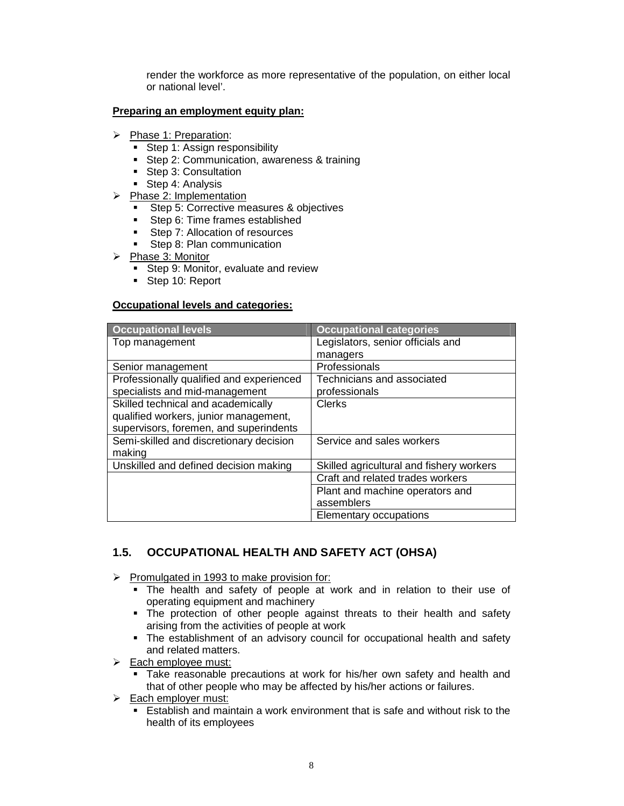render the workforce as more representative of the population, on either local or national level'.

#### **Preparing an employment equity plan:**

- Phase 1: Preparation:
	- Step 1: Assign responsibility
	- **Step 2: Communication, awareness & training**
	- Step 3: Consultation
	- Step 4: Analysis
- $\triangleright$  Phase 2: Implementation
	- **Step 5: Corrective measures & objectives**
	- Step 6: Time frames established
	- Step 7: Allocation of resources
	- Step 8: Plan communication
- $\triangleright$  Phase 3: Monitor
	- Step 9: Monitor, evaluate and review
	- Step 10: Report

#### **Occupational levels and categories:**

| <b>Occupational levels</b>               | <b>Occupational categories</b>           |
|------------------------------------------|------------------------------------------|
| Top management                           | Legislators, senior officials and        |
|                                          | managers                                 |
| Senior management                        | Professionals                            |
| Professionally qualified and experienced | Technicians and associated               |
| specialists and mid-management           | professionals                            |
| Skilled technical and academically       | Clerks                                   |
| qualified workers, junior management,    |                                          |
| supervisors, foremen, and superindents   |                                          |
| Semi-skilled and discretionary decision  | Service and sales workers                |
| making                                   |                                          |
| Unskilled and defined decision making    | Skilled agricultural and fishery workers |
|                                          | Craft and related trades workers         |
|                                          | Plant and machine operators and          |
|                                          | assemblers                               |
|                                          | Elementary occupations                   |

# **1.5. OCCUPATIONAL HEALTH AND SAFETY ACT (OHSA)**

- $\triangleright$  Promulgated in 1993 to make provision for:
	- The health and safety of people at work and in relation to their use of operating equipment and machinery
	- The protection of other people against threats to their health and safety arising from the activities of people at work
	- The establishment of an advisory council for occupational health and safety and related matters.
- $\triangleright$  Each employee must:
	- Take reasonable precautions at work for his/her own safety and health and that of other people who may be affected by his/her actions or failures.
- Each employer must:
	- Establish and maintain a work environment that is safe and without risk to the health of its employees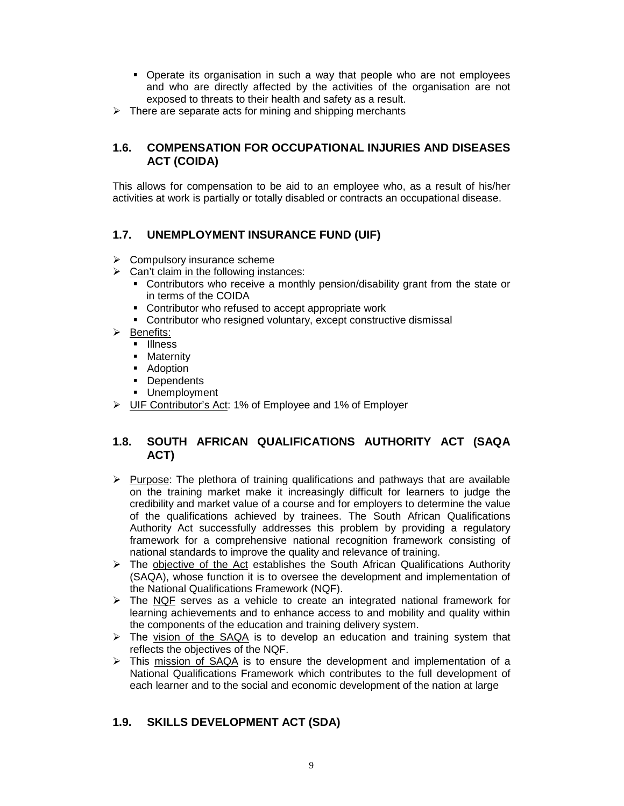- Operate its organisation in such a way that people who are not employees and who are directly affected by the activities of the organisation are not exposed to threats to their health and safety as a result.
- $\triangleright$  There are separate acts for mining and shipping merchants

# **1.6. COMPENSATION FOR OCCUPATIONAL INJURIES AND DISEASES ACT (COIDA)**

This allows for compensation to be aid to an employee who, as a result of his/her activities at work is partially or totally disabled or contracts an occupational disease.

# **1.7. UNEMPLOYMENT INSURANCE FUND (UIF)**

- $\triangleright$  Compulsory insurance scheme
- $\triangleright$  Can't claim in the following instances:
	- Contributors who receive a monthly pension/disability grant from the state or in terms of the COIDA
	- **Contributor who refused to accept appropriate work**
	- Contributor who resigned voluntary, except constructive dismissal
- $\triangleright$  Benefits:
	- **Illness**
	- **-** Maternity
	- **Adoption**
	- **Dependents**
	- **Unemployment**
- UIF Contributor's Act: 1% of Employee and 1% of Employer

# **1.8. SOUTH AFRICAN QUALIFICATIONS AUTHORITY ACT (SAQA ACT)**

- $\triangleright$  Purpose: The plethora of training qualifications and pathways that are available on the training market make it increasingly difficult for learners to judge the credibility and market value of a course and for employers to determine the value of the qualifications achieved by trainees. The South African Qualifications Authority Act successfully addresses this problem by providing a regulatory framework for a comprehensive national recognition framework consisting of national standards to improve the quality and relevance of training.
- $\triangleright$  The objective of the Act establishes the South African Qualifications Authority (SAQA), whose function it is to oversee the development and implementation of the National Qualifications Framework (NQF).
- $\triangleright$  The NQF serves as a vehicle to create an integrated national framework for learning achievements and to enhance access to and mobility and quality within the components of the education and training delivery system.
- $\triangleright$  The vision of the SAQA is to develop an education and training system that reflects the objectives of the NQF.
- $\triangleright$  This mission of SAQA is to ensure the development and implementation of a National Qualifications Framework which contributes to the full development of each learner and to the social and economic development of the nation at large

# **1.9. SKILLS DEVELOPMENT ACT (SDA)**